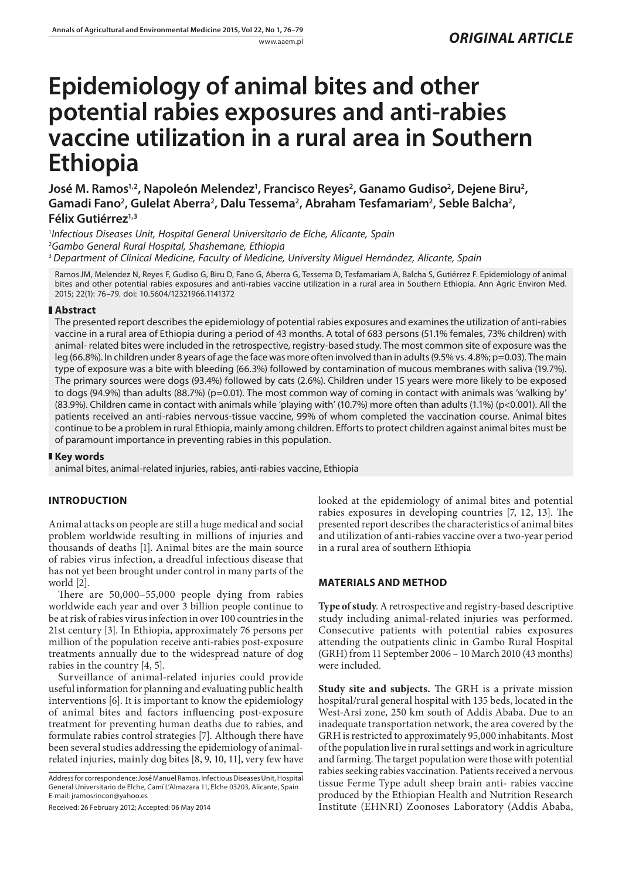# **Epidemiology of animal bites and other potential rabies exposures and anti-rabies vaccine utilization in a rural area in Southern Ethiopia**

José M. Ramos<sup>1,2</sup>, Napoleón Melendez<sup>1</sup>, Francisco Reyes<sup>2</sup>, Ganamo Gudiso<sup>2</sup>, Dejene Biru<sup>2</sup>, Gamadi Fano<sup>2</sup>, Gulelat Aberra<sup>2</sup>, Dalu Tessema<sup>2</sup>, Abraham Tesfamariam<sup>2</sup>, Seble Balcha<sup>2</sup>, **Félix Gutiérrez1,3**

1 *Infectious Diseases Unit, Hospital General Universitario de Elche, Alicante, Spain* 2 *Gambo General Rural Hospital, Shashemane, Ethiopia* <sup>3</sup>*Department of Clinical Medicine, Faculty of Medicine, University Miguel Hernández, Alicante, Spain*

RamosJM, Melendez N, Reyes F, Gudiso G, Biru D, Fano G, Aberra G, Tessema D, Tesfamariam A, Balcha S, Gutiérrez F. Epidemiology of animal bites and other potential rabies exposures and anti-rabies vaccine utilization in a rural area in Southern Ethiopia. Ann Agric Environ Med. 2015; 22(1): 76–79. doi: 10.5604/12321966.1141372

## **Abstract**

The presented report describes the epidemiology of potential rabies exposures and examines the utilization of anti-rabies vaccine in a rural area of Ethiopia during a period of 43 months. A total of 683 persons (51.1% females, 73% children) with animal- related bites were included in the retrospective, registry-based study. The most common site of exposure was the leg (66.8%). In children under 8 years of age the face was more often involved than in adults (9.5% vs. 4.8%; p=0.03). The main type of exposure was a bite with bleeding (66.3%) followed by contamination of mucous membranes with saliva (19.7%). The primary sources were dogs (93.4%) followed by cats (2.6%). Children under 15 years were more likely to be exposed to dogs (94.9%) than adults (88.7%) (p=0.01). The most common way of coming in contact with animals was 'walking by' (83.9%). Children came in contact with animals while 'playing with' (10.7%) more often than adults (1.1%) (p<0.001). All the patients received an anti-rabies nervous-tissue vaccine, 99% of whom completed the vaccination course. Animal bites continue to be a problem in rural Ethiopia, mainly among children. Efforts to protect children against animal bites must be of paramount importance in preventing rabies in this population.

### **Key words**

animal bites, animal-related injuries, rabies, anti-rabies vaccine, Ethiopia

## **INTRODUCTION**

Animal attacks on people are still a huge medical and social problem worldwide resulting in millions of injuries and thousands of deaths [1]. Animal bites are the main source of rabies virus infection, a dreadful infectious disease that has not yet been brought under control in many parts of the world [2].

There are 50,000–55,000 people dying from rabies worldwide each year and over 3 billion people continue to be at risk of rabies virus infection in over 100 countries in the 21st century [3]. In Ethiopia, approximately 76 persons per million of the population receive anti-rabies post-exposure treatments annually due to the widespread nature of dog rabies in the country [4, 5].

Surveillance of animal-related injuries could provide useful information for planning and evaluating public health interventions [6]. It is important to know the epidemiology of animal bites and factors influencing post-exposure treatment for preventing human deaths due to rabies, and formulate rabies control strategies [7]. Although there have been several studies addressing the epidemiology of animalrelated injuries, mainly dog bites [8, 9, 10, 11], very few have

Address for correspondence: José Manuel Ramos, Infectious Diseases Unit, Hospital General Universitario de Elche, Camí L'Almazara 11, Elche 03203, Alicante, Spain E-mail: [jramosrincon@yahoo.es](mailto:jramosrincon@yahoo.es)

Received: 26 February 2012; Accepted: 06 May 2014

looked at the epidemiology of animal bites and potential rabies exposures in developing countries [7, 12, 13]. The presented report describes the characteristics of animal bites and utilization of anti-rabies vaccine over a two-year period in a rural area of southern Ethiopia

## **MATERIALS AND METHOD**

**Type of study**. A retrospective and registry-based descriptive study including animal-related injuries was performed. Consecutive patients with potential rabies exposures attending the outpatients clinic in Gambo Rural Hospital (GRH) from 11 September 2006 – 10 March 2010 (43 months) were included.

**Study site and subjects.** The GRH is a private mission hospital/rural general hospital with 135 beds, located in the West-Arsi zone, 250 km south of Addis Ababa. Due to an inadequate transportation network, the area covered by the GRH is restricted to approximately 95,000 inhabitants. Most of the population live in rural settings and work in agriculture and farming. The target population were those with potential rabies seeking rabies vaccination. Patients received a nervous tissue Ferme Type adult sheep brain anti- rabies vaccine produced by the Ethiopian Health and Nutrition Research Institute (EHNRI) Zoonoses Laboratory (Addis Ababa,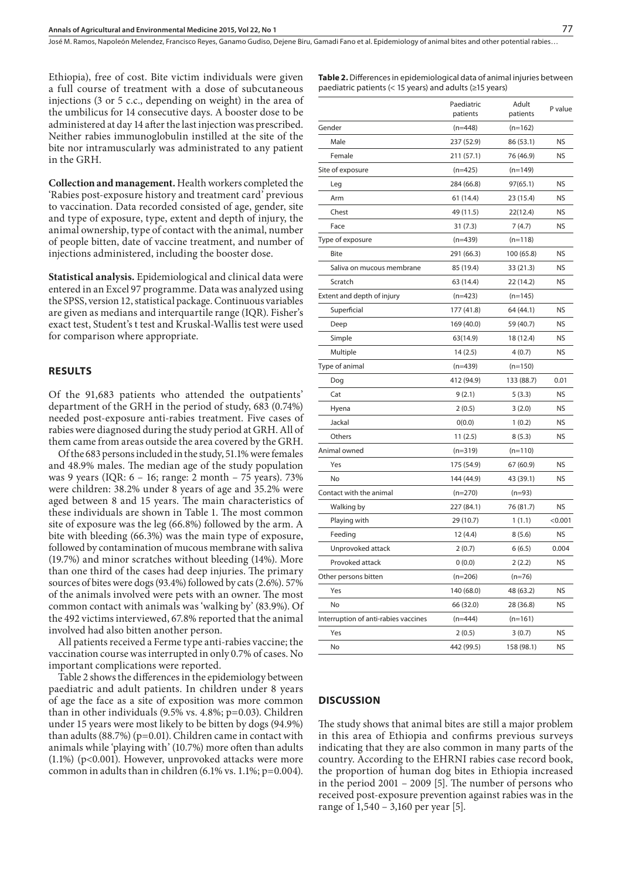José M. Ramos, Napoleón Melendez, Francisco Reyes, Ganamo Gudiso, Dejene Biru, Gamadi Fano et al. Epidemiology of animal bites and other potential rabies…

Ethiopia), free of cost. Bite victim individuals were given a full course of treatment with a dose of subcutaneous injections (3 or 5 c.c., depending on weight) in the area of the umbilicus for 14 consecutive days. A booster dose to be administered at day 14 after the last injection was prescribed. Neither rabies immunoglobulin instilled at the site of the bite nor intramuscularly was administrated to any patient in the GRH.

**Collection and management.** Health workers completed the 'Rabies post-exposure history and treatment card' previous to vaccination. Data recorded consisted of age, gender, site and type of exposure, type, extent and depth of injury, the animal ownership, type of contact with the animal, number of people bitten, date of vaccine treatment, and number of injections administered, including the booster dose.

**Statistical analysis.** Epidemiological and clinical data were entered in an Excel 97 programme. Data was analyzed using the SPSS, version 12, statistical package. Continuous variables are given as medians and interquartile range (IQR). Fisher's exact test, Student's t test and Kruskal-Wallis test were used for comparison where appropriate.

#### **RESULTS**

Of the 91,683 patients who attended the outpatients' department of the GRH in the period of study, 683 (0.74%) needed post-exposure anti-rabies treatment. Five cases of rabies were diagnosed during the study period at GRH. All of them came from areas outside the area covered by the GRH.

Of the 683 persons included in the study, 51.1% were females and 48.9% males. The median age of the study population was 9 years (IQR: 6 – 16; range: 2 month – 75 years). 73% were children: 38.2% under 8 years of age and 35.2% were aged between 8 and 15 years. The main characteristics of these individuals are shown in Table 1. The most common site of exposure was the leg (66.8%) followed by the arm. A bite with bleeding (66.3%) was the main type of exposure, followed by contamination of mucous membrane with saliva (19.7%) and minor scratches without bleeding (14%). More than one third of the cases had deep injuries. The primary sources of bites were dogs (93.4%) followed by cats (2.6%). 57% of the animals involved were pets with an owner. The most common contact with animals was 'walking by' (83.9%). Of the 492 victims interviewed, 67.8% reported that the animal involved had also bitten another person.

All patients received a Ferme type anti-rabies vaccine; the vaccination course was interrupted in only 0.7% of cases. No important complications were reported.

Table 2 shows the differences in the epidemiology between paediatric and adult patients. In children under 8 years of age the face as a site of exposition was more common than in other individuals (9.5% vs. 4.8%; p=0.03). Children under 15 years were most likely to be bitten by dogs (94.9%) than adults (88.7%) (p=0.01). Children came in contact with animals while 'playing with' (10.7%) more often than adults (1.1%) (p<0.001). However, unprovoked attacks were more common in adults than in children (6.1% vs. 1.1%; p=0.004).

|                                      | Paediatric<br>patients | Adult<br>patients | P value   |
|--------------------------------------|------------------------|-------------------|-----------|
| Gender                               | $(n=448)$              | $(n=162)$         |           |
| Male                                 | 237 (52.9)             | 86 (53.1)         | <b>NS</b> |
| Female                               | 211 (57.1)             | 76 (46.9)         | <b>NS</b> |
| Site of exposure                     | $(n=425)$              | $(n=149)$         |           |
| Leg                                  | 284 (66.8)             | 97(65.1)          | <b>NS</b> |
| Arm                                  | 61 (14.4)              | 23 (15.4)         | <b>NS</b> |
| Chest                                | 49 (11.5)              | 22(12.4)          | <b>NS</b> |
| Face                                 | 31(7.3)                | 7(4.7)            | <b>NS</b> |
| Type of exposure                     | $(n=439)$              | $(n=118)$         |           |
| <b>Bite</b>                          | 291 (66.3)             | 100 (65.8)        | <b>NS</b> |
| Saliva on mucous membrane            | 85 (19.4)              | 33 (21.3)         | <b>NS</b> |
| Scratch                              | 63 (14.4)              | 22 (14.2)         | <b>NS</b> |
| Extent and depth of injury           | $(n=423)$              | $(n=145)$         |           |
| Superficial                          | 177 (41.8)             | 64 (44.1)         | <b>NS</b> |
| Deep                                 | 169 (40.0)             | 59 (40.7)         | <b>NS</b> |
| Simple                               | 63(14.9)               | 18 (12.4)         | <b>NS</b> |
| Multiple                             | 14(2.5)                | 4(0.7)            | <b>NS</b> |
| Type of animal                       | $(n=439)$              | $(n=150)$         |           |
| Dog                                  | 412 (94.9)             | 133 (88.7)        | 0.01      |
| Cat                                  | 9(2.1)                 | 5(3.3)            | <b>NS</b> |
| Hyena                                | 2(0.5)                 | 3(2.0)            | <b>NS</b> |
| Jackal                               | 0(0.0)                 | 1(0.2)            | <b>NS</b> |
| Others                               | 11(2.5)                | 8(5.3)            | <b>NS</b> |
| Animal owned                         | $(n=319)$              | $(n=110)$         |           |
| Yes                                  | 175 (54.9)             | 67 (60.9)         | <b>NS</b> |
| No                                   | 144 (44.9)             | 43 (39.1)         | <b>NS</b> |
| Contact with the animal              | $(n=270)$              | $(n=93)$          |           |
| Walking by                           | 227 (84.1)             | 76 (81.7)         | <b>NS</b> |
| Playing with                         | 29 (10.7)              | 1(1.1)            | < 0.001   |
| Feeding                              | 12 (4.4)               | 8(5.6)            | NS        |
| Unprovoked attack                    | 2(0.7)                 | 6(6.5)            | 0.004     |
| Provoked attack                      | 0(0.0)                 | 2(2.2)            | <b>NS</b> |
| Other persons bitten                 | $(n=206)$              | $(n=76)$          |           |
| Yes                                  | 140 (68.0)             | 48 (63.2)         | <b>NS</b> |
| No                                   | 66 (32.0)              | 28 (36.8)         | <b>NS</b> |
| Interruption of anti-rabies vaccines | $(n=444)$              | $(n=161)$         |           |
| Yes                                  | 2(0.5)                 | 3(0.7)            | <b>NS</b> |
| No                                   | 442 (99.5)             | 158 (98.1)        | <b>NS</b> |

**Table 2.** Differences in epidemiological data of animal injuries between

paediatric patients (< 15 years) and adults (≥15 years)

## **DISCUSSION**

The study shows that animal bites are still a major problem in this area of Ethiopia and confirms previous surveys indicating that they are also common in many parts of the country. According to the EHRNI rabies case record book, the proportion of human dog bites in Ethiopia increased in the period 2001 – 2009 [5]. The number of persons who received post-exposure prevention against rabies was in the range of 1,540 – 3,160 per year [5].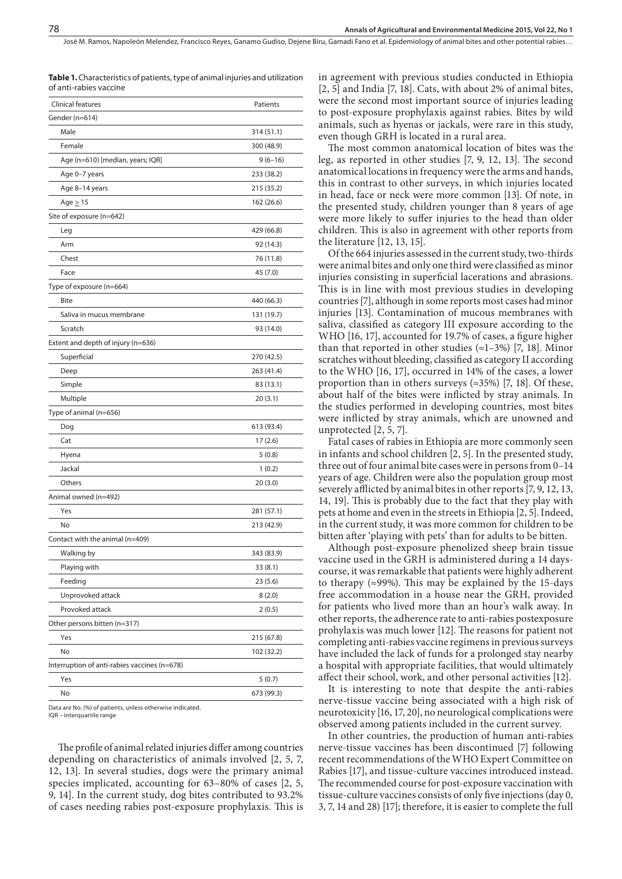José M. Ramos, Napoleón Melendez, Francisco Reyes, Ganamo Gudiso, Dejene Biru, Gamadi Fano et al. Epidemiology of animal bites and other potential rabies…

**Table 1.** Characteristics of patients, type of animal injuries and utilization of anti-rabies vaccine

| Clinical features                            | Patients   |
|----------------------------------------------|------------|
| Gender (n=614)                               |            |
| Male                                         | 314 (51.1) |
| Female                                       | 300 (48.9) |
| Age (n=610) [median, years; IQR]             | $9(6-16)$  |
| Age 0-7 years                                | 233 (38.2) |
| Age 8-14 years                               | 215 (35.2) |
| Age $\geq$ 15                                | 162 (26.6) |
| Site of exposure (n=642)                     |            |
| Leg                                          | 429 (66.8) |
| Arm                                          | 92 (14.3)  |
| Chest                                        | 76 (11.8)  |
| Face                                         | 45 (7.0)   |
| Type of exposure (n=664)                     |            |
| <b>Bite</b>                                  | 440 (66.3) |
| Saliva in mucus membrane                     | 131 (19.7) |
| Scratch                                      | 93 (14.0)  |
| Extent and depth of injury (n=636)           |            |
| Superficial                                  | 270 (42.5) |
| Deep                                         | 263 (41.4) |
| Simple                                       | 83 (13.1)  |
| Multiple                                     | 20(3.1)    |
| Type of animal (n=656)                       |            |
| Dog                                          | 613 (93.4) |
| Cat                                          | 17(2.6)    |
| Hyena                                        | 5(0.8)     |
| Jackal                                       | 1(0.2)     |
| Others                                       | 20(3.0)    |
| Animal owned (n=492)                         |            |
| Yes                                          | 281 (57.1) |
| No                                           | 213 (42.9) |
| Contact with the animal (n=409)              |            |
| Walking by                                   | 343 (83.9) |
| Playing with                                 | 33 (8.1)   |
| Feeding                                      | 23(5.6)    |
| Unprovoked attack                            | 8(2.0)     |
| Provoked attack                              | 2(0.5)     |
| Other persons bitten (n=317)                 |            |
| Yes                                          | 215 (67.8) |
| No                                           | 102 (32.2) |
| Interruption of anti-rabies vaccines (n=678) |            |
| Yes                                          | 5(0.7)     |
| No                                           | 673 (99.3) |

Data are No. (%) of patients, unless otherwise indicated.

IQR – interquartile range

The profile of animal related injuries differ among countries depending on characteristics of animals involved [2, 5, 7, 12, 13]. In several studies, dogs were the primary animal species implicated, accounting for 63–80% of cases [2, 5, 9, 14]. In the current study, dog bites contributed to 93.2% of cases needing rabies post-exposure prophylaxis. This is

in agreement with previous studies conducted in Ethiopia  $[2, 5]$  and India  $[7, 18]$ . Cats, with about 2% of animal bites, were the second most important source of injuries leading to post-exposure prophylaxis against rabies. Bites by wild animals, such as hyenas or jackals, were rare in this study, even though GRH is located in a rural area.

The most common anatomical location of bites was the leg, as reported in other studies [7, 9, 12, 13]. The second anatomical locations in frequency were the arms and hands, this in contrast to other surveys, in which injuries located in head, face or neck were more common [13]. Of note, in the presented study, children younger than 8 years of age were more likely to suffer injuries to the head than older children. This is also in agreement with other reports from the literature [12, 13, 15].

Of the 664 injuries assessed in the current study, two-thirds were animal bites and only one third were classified as minor injuries consisting in superficial lacerations and abrasions. This is in line with most previous studies in developing countries [7], although in some reports most cases had minor injuries [13]. Contamination of mucous membranes with saliva, classified as category III exposure according to the WHO [16, 17], accounted for 19.7% of cases, a figure higher than that reported in other studies  $(\approx 1-3\%)$  [7, 18]. Minor scratches without bleeding, classified as category II according to the WHO [16, 17], occurred in 14% of the cases, a lower proportion than in others surveys ( $\approx$ 35%) [7, 18]. Of these, about half of the bites were inflicted by stray animals. In the studies performed in developing countries, most bites were inflicted by stray animals, which are unowned and unprotected [2, 5, 7].

Fatal cases of rabies in Ethiopia are more commonly seen in infants and school children [2, 5]. In the presented study, three out of four animal bite cases were in persons from 0–14 years of age. Children were also the population group most severely afflicted by animal bites in other reports [7, 9, 12, 13, 14, 19]. This is probably due to the fact that they play with pets at home and even in the streets in Ethiopia [2, 5]. Indeed, in the current study, it was more common for children to be bitten after 'playing with pets' than for adults to be bitten.

Although post-exposure phenolized sheep brain tissue vaccine used in the GRH is administered during a 14 dayscourse, it was remarkable that patients were highly adherent to therapy  $(\approx 99\%)$ . This may be explained by the 15-days free accommodation in a house near the GRH, provided for patients who lived more than an hour's walk away. In other reports, the adherence rate to anti-rabies postexposure prohylaxis was much lower [12]. The reasons for patient not completing anti-rabies vaccine regimens in previous surveys have included the lack of funds for a prolonged stay nearby a hospital with appropriate facilities, that would ultimately affect their school, work, and other personal activities [12].

It is interesting to note that despite the anti-rabies nerve-tissue vaccine being associated with a high risk of neurotoxicity [16, 17, 20], no neurological complications were observed among patients included in the current survey.

In other countries, the production of human anti-rabies nerve-tissue vaccines has been discontinued [7] following recent recommendations of the WHO Expert Committee on Rabies [17], and tissue-culture vaccines introduced instead. The recommended course for post-exposure vaccination with tissue-culture vaccines consists of only five injections (day 0, 3, 7, 14 and 28) [17]; therefore, it is easier to complete the full